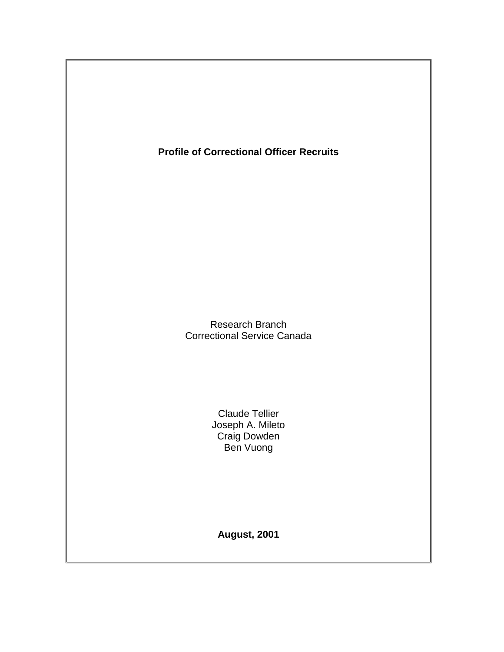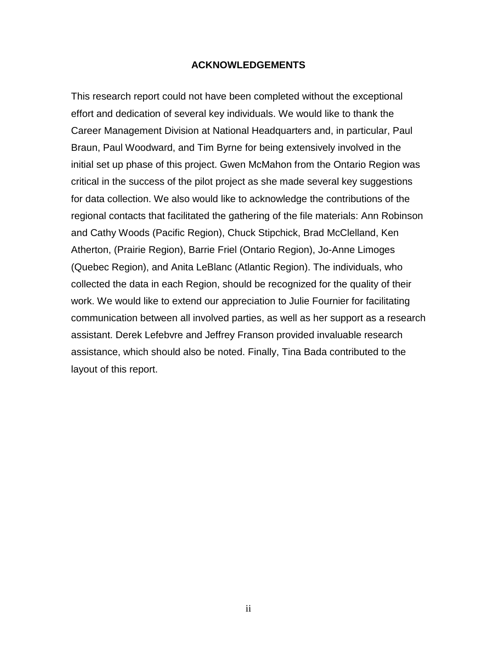## **ACKNOWLEDGEMENTS**

<span id="page-1-0"></span>This research report could not have been completed without the exceptional effort and dedication of several key individuals. We would like to thank the Career Management Division at National Headquarters and, in particular, Paul Braun, Paul Woodward, and Tim Byrne for being extensively involved in the initial set up phase of this project. Gwen McMahon from the Ontario Region was critical in the success of the pilot project as she made several key suggestions for data collection. We also would like to acknowledge the contributions of the regional contacts that facilitated the gathering of the file materials: Ann Robinson and Cathy Woods (Pacific Region), Chuck Stipchick, Brad McClelland, Ken Atherton, (Prairie Region), Barrie Friel (Ontario Region), Jo-Anne Limoges (Quebec Region), and Anita LeBlanc (Atlantic Region). The individuals, who collected the data in each Region, should be recognized for the quality of their work. We would like to extend our appreciation to Julie Fournier for facilitating communication between all involved parties, as well as her support as a research assistant. Derek Lefebvre and Jeffrey Franson provided invaluable research assistance, which should also be noted. Finally, Tina Bada contributed to the layout of this report.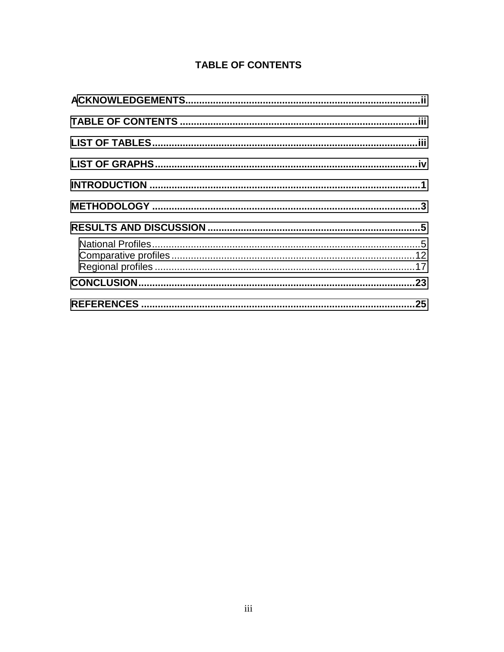# **TABLE OF CONTENTS**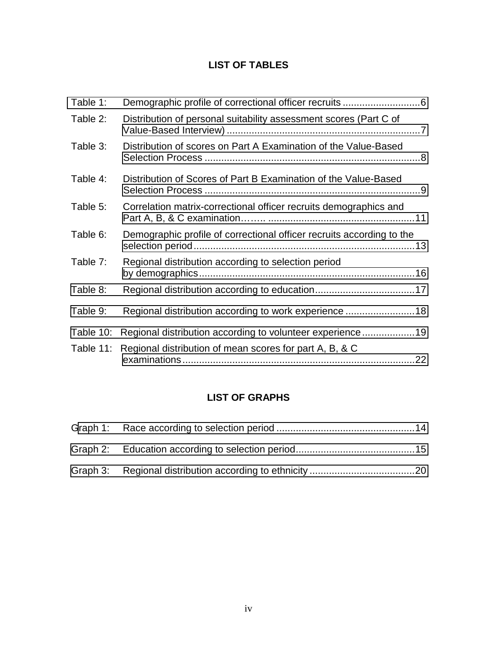# **LIST OF TABLES**

<span id="page-3-0"></span>

| Table 1:  |                                                                       |
|-----------|-----------------------------------------------------------------------|
| Table 2:  | Distribution of personal suitability assessment scores (Part C of     |
| Table 3:  | Distribution of scores on Part A Examination of the Value-Based       |
| Table 4:  | Distribution of Scores of Part B Examination of the Value-Based       |
| Table 5:  | Correlation matrix-correctional officer recruits demographics and     |
| Table 6:  | Demographic profile of correctional officer recruits according to the |
| Table 7:  | Regional distribution according to selection period                   |
| Table 8:  |                                                                       |
| Table 9:  | Regional distribution according to work experience 18                 |
| Table 10: | Regional distribution according to volunteer experience19             |
| Table 11: | Regional distribution of mean scores for part A, B, & C               |
|           |                                                                       |

# **LIST OF GRAPHS**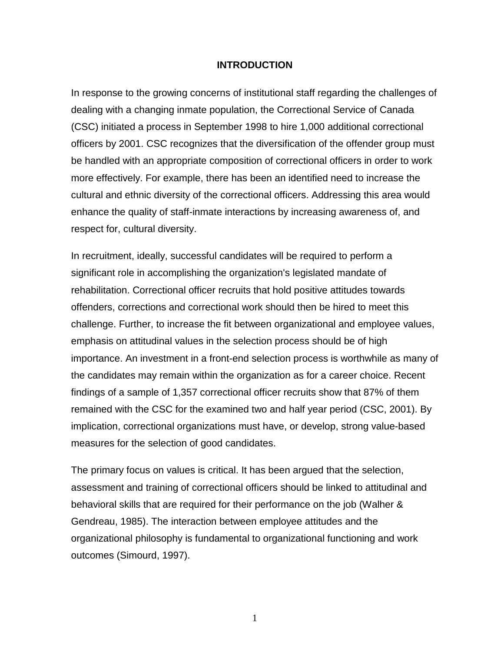#### **INTRODUCTION**

<span id="page-4-0"></span>In response to the growing concerns of institutional staff regarding the challenges of dealing with a changing inmate population, the Correctional Service of Canada (CSC) initiated a process in September 1998 to hire 1,000 additional correctional officers by 2001. CSC recognizes that the diversification of the offender group must be handled with an appropriate composition of correctional officers in order to work more effectively. For example, there has been an identified need to increase the cultural and ethnic diversity of the correctional officers. Addressing this area would enhance the quality of staff-inmate interactions by increasing awareness of, and respect for, cultural diversity.

In recruitment, ideally, successful candidates will be required to perform a significant role in accomplishing the organization's legislated mandate of rehabilitation. Correctional officer recruits that hold positive attitudes towards offenders, corrections and correctional work should then be hired to meet this challenge. Further, to increase the fit between organizational and employee values, emphasis on attitudinal values in the selection process should be of high importance. An investment in a front-end selection process is worthwhile as many of the candidates may remain within the organization as for a career choice. Recent findings of a sample of 1,357 correctional officer recruits show that 87% of them remained with the CSC for the examined two and half year period (CSC, 2001). By implication, correctional organizations must have, or develop, strong value-based measures for the selection of good candidates.

The primary focus on values is critical. It has been argued that the selection, assessment and training of correctional officers should be linked to attitudinal and behavioral skills that are required for their performance on the job (Walher & Gendreau, 1985). The interaction between employee attitudes and the organizational philosophy is fundamental to organizational functioning and work outcomes (Simourd, 1997).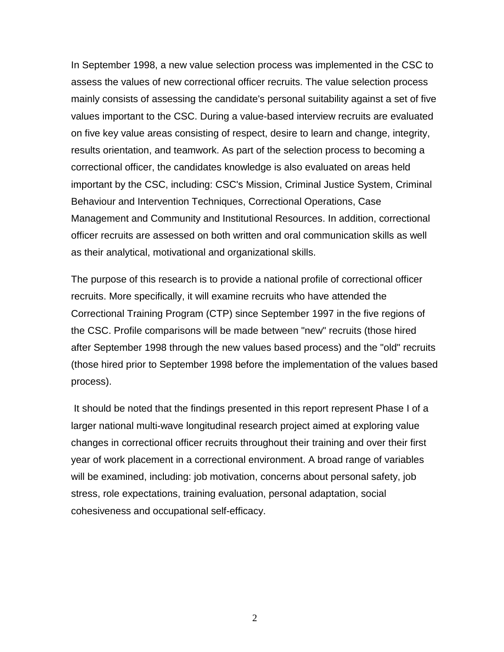In September 1998, a new value selection process was implemented in the CSC to assess the values of new correctional officer recruits. The value selection process mainly consists of assessing the candidate's personal suitability against a set of five values important to the CSC. During a value-based interview recruits are evaluated on five key value areas consisting of respect, desire to learn and change, integrity, results orientation, and teamwork. As part of the selection process to becoming a correctional officer, the candidates knowledge is also evaluated on areas held important by the CSC, including: CSC's Mission, Criminal Justice System, Criminal Behaviour and Intervention Techniques, Correctional Operations, Case Management and Community and Institutional Resources. In addition, correctional officer recruits are assessed on both written and oral communication skills as well as their analytical, motivational and organizational skills.

The purpose of this research is to provide a national profile of correctional officer recruits. More specifically, it will examine recruits who have attended the Correctional Training Program (CTP) since September 1997 in the five regions of the CSC. Profile comparisons will be made between "new" recruits (those hired after September 1998 through the new values based process) and the "old" recruits (those hired prior to September 1998 before the implementation of the values based process).

 It should be noted that the findings presented in this report represent Phase I of a larger national multi-wave longitudinal research project aimed at exploring value changes in correctional officer recruits throughout their training and over their first year of work placement in a correctional environment. A broad range of variables will be examined, including: job motivation, concerns about personal safety, job stress, role expectations, training evaluation, personal adaptation, social cohesiveness and occupational self-efficacy.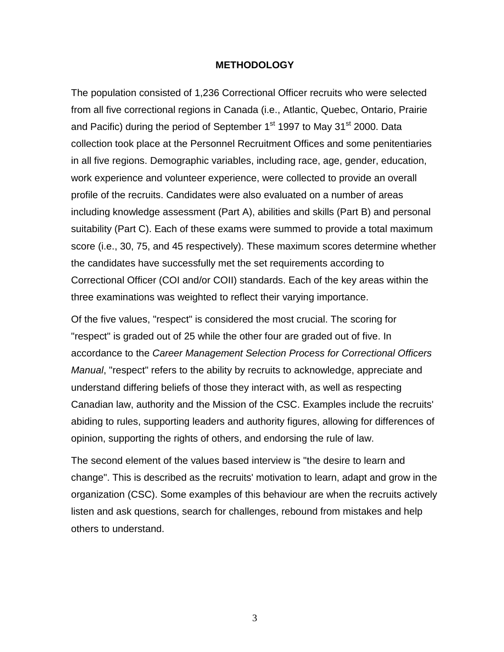#### **METHODOLOGY**

<span id="page-6-0"></span>The population consisted of 1,236 Correctional Officer recruits who were selected from all five correctional regions in Canada (i.e., Atlantic, Quebec, Ontario, Prairie and Pacific) during the period of September 1<sup>st</sup> 1997 to May 31<sup>st</sup> 2000. Data collection took place at the Personnel Recruitment Offices and some penitentiaries in all five regions. Demographic variables, including race, age, gender, education, work experience and volunteer experience, were collected to provide an overall profile of the recruits. Candidates were also evaluated on a number of areas including knowledge assessment (Part A), abilities and skills (Part B) and personal suitability (Part C). Each of these exams were summed to provide a total maximum score (i.e., 30, 75, and 45 respectively). These maximum scores determine whether the candidates have successfully met the set requirements according to Correctional Officer (COI and/or COII) standards. Each of the key areas within the three examinations was weighted to reflect their varying importance.

Of the five values, "respect" is considered the most crucial. The scoring for "respect" is graded out of 25 while the other four are graded out of five. In accordance to the *Career Management Selection Process for Correctional Officers Manual*, "respect" refers to the ability by recruits to acknowledge, appreciate and understand differing beliefs of those they interact with, as well as respecting Canadian law, authority and the Mission of the CSC. Examples include the recruits' abiding to rules, supporting leaders and authority figures, allowing for differences of opinion, supporting the rights of others, and endorsing the rule of law.

The second element of the values based interview is "the desire to learn and change". This is described as the recruits' motivation to learn, adapt and grow in the organization (CSC). Some examples of this behaviour are when the recruits actively listen and ask questions, search for challenges, rebound from mistakes and help others to understand.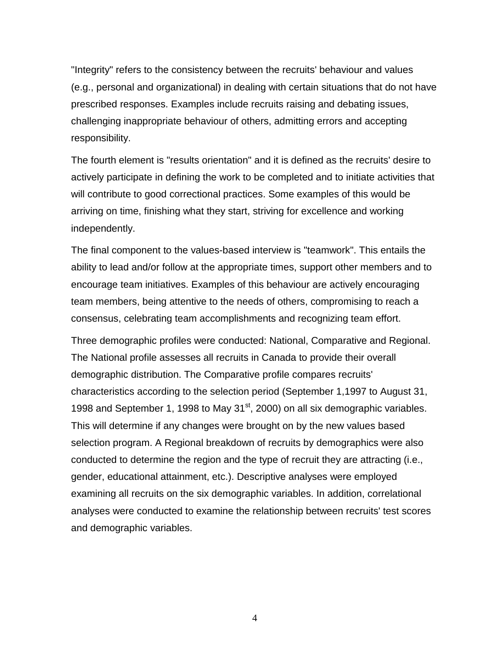"Integrity" refers to the consistency between the recruits' behaviour and values (e.g., personal and organizational) in dealing with certain situations that do not have prescribed responses. Examples include recruits raising and debating issues, challenging inappropriate behaviour of others, admitting errors and accepting responsibility.

The fourth element is "results orientation" and it is defined as the recruits' desire to actively participate in defining the work to be completed and to initiate activities that will contribute to good correctional practices. Some examples of this would be arriving on time, finishing what they start, striving for excellence and working independently.

The final component to the values-based interview is "teamwork". This entails the ability to lead and/or follow at the appropriate times, support other members and to encourage team initiatives. Examples of this behaviour are actively encouraging team members, being attentive to the needs of others, compromising to reach a consensus, celebrating team accomplishments and recognizing team effort.

Three demographic profiles were conducted: National, Comparative and Regional. The National profile assesses all recruits in Canada to provide their overall demographic distribution. The Comparative profile compares recruits' characteristics according to the selection period (September 1,1997 to August 31, 1998 and September 1, 1998 to May  $31<sup>st</sup>$ , 2000) on all six demographic variables. This will determine if any changes were brought on by the new values based selection program. A Regional breakdown of recruits by demographics were also conducted to determine the region and the type of recruit they are attracting (i.e., gender, educational attainment, etc.). Descriptive analyses were employed examining all recruits on the six demographic variables. In addition, correlational analyses were conducted to examine the relationship between recruits' test scores and demographic variables.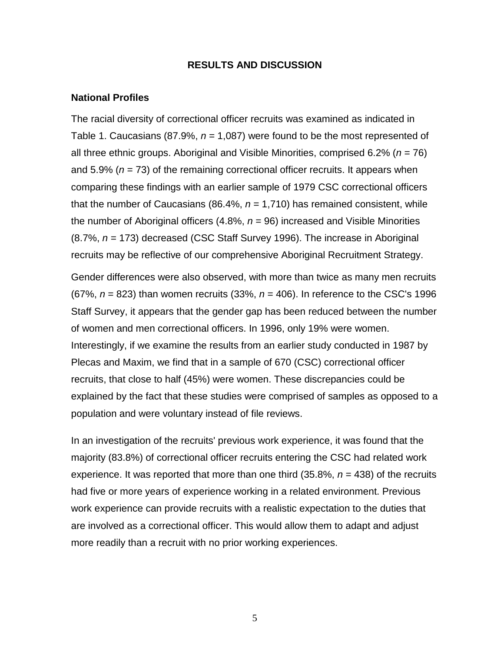### **RESULTS AND DISCUSSION**

#### <span id="page-8-0"></span>**National Profiles**

The racial diversity of correctional officer recruits was examined as indicated in Table 1. Caucasians (87.9%, *n* = 1,087) were found to be the most represented of all three ethnic groups. Aboriginal and Visible Minorities, comprised 6.2% (*n* = 76) and 5.9% ( $n = 73$ ) of the remaining correctional officer recruits. It appears when comparing these findings with an earlier sample of 1979 CSC correctional officers that the number of Caucasians  $(86.4\%, n = 1,710)$  has remained consistent, while the number of Aboriginal officers (4.8%, *n* = 96) increased and Visible Minorities (8.7%, *n* = 173) decreased (CSC Staff Survey 1996). The increase in Aboriginal recruits may be reflective of our comprehensive Aboriginal Recruitment Strategy.

Gender differences were also observed, with more than twice as many men recruits (67%, *n* = 823) than women recruits (33%, *n* = 406). In reference to the CSC's 1996 Staff Survey, it appears that the gender gap has been reduced between the number of women and men correctional officers. In 1996, only 19% were women. Interestingly, if we examine the results from an earlier study conducted in 1987 by Plecas and Maxim, we find that in a sample of 670 (CSC) correctional officer recruits, that close to half (45%) were women. These discrepancies could be explained by the fact that these studies were comprised of samples as opposed to a population and were voluntary instead of file reviews.

In an investigation of the recruits' previous work experience, it was found that the majority (83.8%) of correctional officer recruits entering the CSC had related work experience. It was reported that more than one third (35.8%, *n* = 438) of the recruits had five or more years of experience working in a related environment. Previous work experience can provide recruits with a realistic expectation to the duties that are involved as a correctional officer. This would allow them to adapt and adjust more readily than a recruit with no prior working experiences.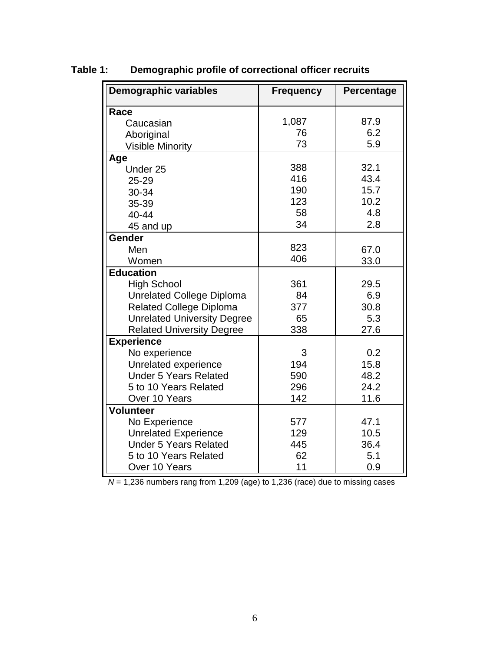| <b>Demographic variables</b>       | <b>Frequency</b> | Percentage |
|------------------------------------|------------------|------------|
| Race                               |                  |            |
| Caucasian                          | 1,087            | 87.9       |
| Aboriginal                         | 76               | 6.2        |
| <b>Visible Minority</b>            | 73               | 5.9        |
| Age                                |                  |            |
| Under 25                           | 388              | 32.1       |
| 25-29                              | 416              | 43.4       |
| 30-34                              | 190              | 15.7       |
| 35-39                              | 123              | 10.2       |
| $40 - 44$                          | 58               | 4.8        |
| 45 and up                          | 34               | 2.8        |
| Gender                             |                  |            |
| Men                                | 823              | 67.0       |
| Women                              | 406              | 33.0       |
| <b>Education</b>                   |                  |            |
| <b>High School</b>                 | 361              | 29.5       |
| <b>Unrelated College Diploma</b>   | 84               | 6.9        |
| <b>Related College Diploma</b>     | 377              | 30.8       |
| <b>Unrelated University Degree</b> | 65               | 5.3        |
| <b>Related University Degree</b>   | 338              | 27.6       |
| <b>Experience</b>                  |                  |            |
| No experience                      | 3                | 0.2        |
| Unrelated experience               | 194              | 15.8       |
| <b>Under 5 Years Related</b>       | 590              | 48.2       |
| 5 to 10 Years Related              | 296              | 24.2       |
| Over 10 Years                      | 142              | 11.6       |
| <b>Volunteer</b>                   |                  |            |
| No Experience                      | 577              | 47.1       |
| <b>Unrelated Experience</b>        | 129              | 10.5       |
| <b>Under 5 Years Related</b>       | 445              | 36.4       |
| 5 to 10 Years Related              | 62               | 5.1        |
| Over 10 Years                      | 11               | 0.9        |

<span id="page-9-0"></span>**Table 1: Demographic profile of correctional officer recruits**

*N* = 1,236 numbers rang from 1,209 (age) to 1,236 (race) due to missing cases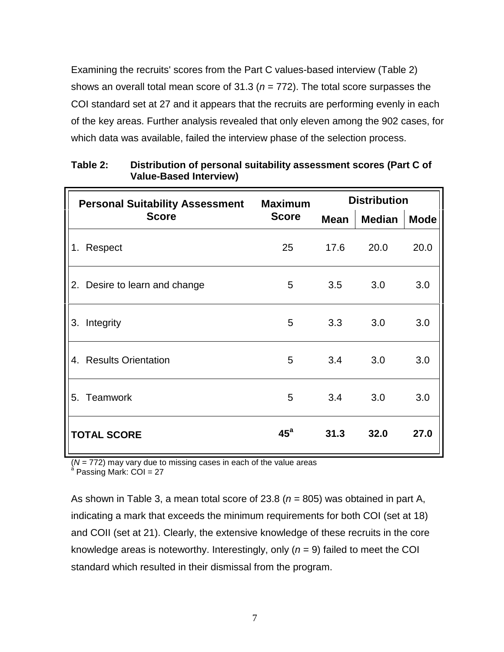<span id="page-10-0"></span>Examining the recruits' scores from the Part C values-based interview (Table 2) shows an overall total mean score of 31.3 (*n* = 772). The total score surpasses the COI standard set at 27 and it appears that the recruits are performing evenly in each of the key areas. Further analysis revealed that only eleven among the 902 cases, for which data was available, failed the interview phase of the selection process.

| <b>Personal Suitability Assessment</b> | <b>Maximum</b> | <b>Distribution</b> |               |             |  |
|----------------------------------------|----------------|---------------------|---------------|-------------|--|
| <b>Score</b>                           | <b>Score</b>   | <b>Mean</b>         | <b>Median</b> | <b>Mode</b> |  |
| 1. Respect                             | 25             | 17.6                | 20.0          | 20.0        |  |
| 2. Desire to learn and change          | 5              | 3.5                 | 3.0           | 3.0         |  |
| 3. Integrity                           | 5              | 3.3                 | 3.0           | 3.0         |  |
| 4. Results Orientation                 | 5              | 3.4                 | 3.0           | 3.0         |  |
| 5. Teamwork                            | 5              | 3.4                 | 3.0           | 3.0         |  |
| <b>TOTAL SCORE</b>                     | $45^{\circ}$   | 31.3                | 32.0          | 27.0        |  |

**Table 2: Distribution of personal suitability assessment scores (Part C of Value-Based Interview)**

(*N* = 772) may vary due to missing cases in each of the value areas<br><sup>a</sup> Passing Mark: COI = 27

As shown in Table 3, a mean total score of 23.8 (*n* = 805) was obtained in part A, indicating a mark that exceeds the minimum requirements for both COI (set at 18) and COII (set at 21). Clearly, the extensive knowledge of these recruits in the core knowledge areas is noteworthy. Interestingly, only (*n* = 9) failed to meet the COI standard which resulted in their dismissal from the program.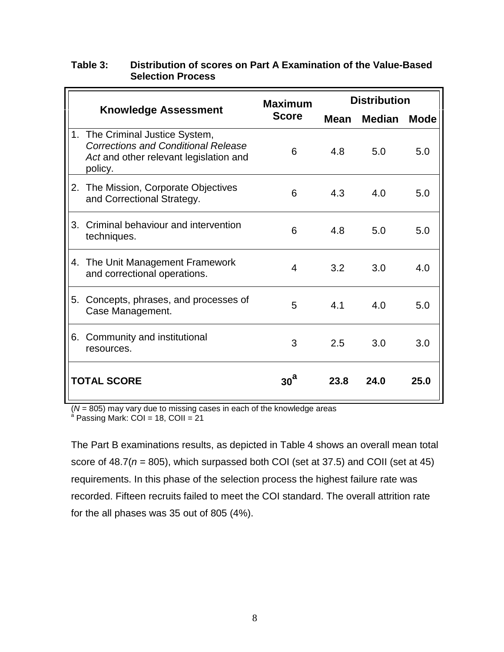## <span id="page-11-0"></span>**Table 3: Distribution of scores on Part A Examination of the Value-Based Selection Process**

|    |                                                                                                                                 | <b>Maximum</b>  | <b>Distribution</b> |               |             |  |
|----|---------------------------------------------------------------------------------------------------------------------------------|-----------------|---------------------|---------------|-------------|--|
|    | <b>Knowledge Assessment</b>                                                                                                     | <b>Score</b>    | <b>Mean</b>         | <b>Median</b> | <b>Mode</b> |  |
| 1. | The Criminal Justice System,<br><b>Corrections and Conditional Release</b><br>Act and other relevant legislation and<br>policy. | 6               | 4.8                 | 5.0           | 5.0         |  |
|    | 2. The Mission, Corporate Objectives<br>and Correctional Strategy.                                                              | 6               | 4.3                 | 4.0           | 5.0         |  |
| 3. | Criminal behaviour and intervention<br>techniques.                                                                              | 6               | 4.8                 | 5.0           | 5.0         |  |
|    | 4. The Unit Management Framework<br>and correctional operations.                                                                | 4               | 3.2                 | 3.0           | 4.0         |  |
| 5. | Concepts, phrases, and processes of<br>Case Management.                                                                         | 5               | 4.1                 | 4.0           | 5.0         |  |
|    | 6. Community and institutional<br>resources.                                                                                    | 3               | 2.5                 | 3.0           | 3.0         |  |
|    | <b>TOTAL SCORE</b>                                                                                                              | 30 <sup>a</sup> | 23.8                | 24.0          | 25.0        |  |

(*N* = 805) may vary due to missing cases in each of the knowledge areas<br><sup>a</sup> Passing Mark: COI = 18, COII = 21

The Part B examinations results, as depicted in Table 4 shows an overall mean total score of 48.7(*n* = 805), which surpassed both COI (set at 37.5) and COII (set at 45) requirements. In this phase of the selection process the highest failure rate was recorded. Fifteen recruits failed to meet the COI standard. The overall attrition rate for the all phases was 35 out of 805 (4%).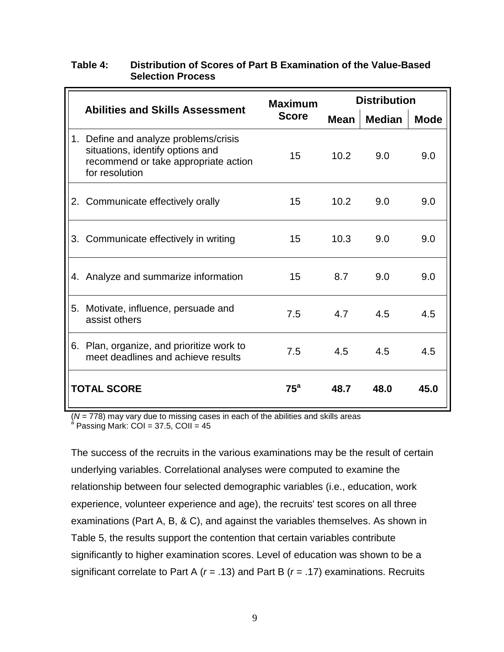<span id="page-12-0"></span>

| Table 4: | Distribution of Scores of Part B Examination of the Value-Based |
|----------|-----------------------------------------------------------------|
|          | <b>Selection Process</b>                                        |
|          |                                                                 |

| <b>Abilities and Skills Assessment</b>                                                                                              | <b>Maximum</b> | <b>Distribution</b> |               |             |  |
|-------------------------------------------------------------------------------------------------------------------------------------|----------------|---------------------|---------------|-------------|--|
|                                                                                                                                     | <b>Score</b>   | Mean                | <b>Median</b> | <b>Mode</b> |  |
| 1. Define and analyze problems/crisis<br>situations, identify options and<br>recommend or take appropriate action<br>for resolution | 15             | 10.2                | 9.0           | 9.0         |  |
| 2. Communicate effectively orally                                                                                                   | 15             | 10.2                | 9.0           | 9.0         |  |
| 3. Communicate effectively in writing                                                                                               | 15             | 10.3                | 9.0           | 9.0         |  |
| 4. Analyze and summarize information                                                                                                | 15             | 8.7                 | 9.0           | 9.0         |  |
| 5. Motivate, influence, persuade and<br>assist others                                                                               | 7.5            | 4.7                 | 4.5           | 4.5         |  |
| 6. Plan, organize, and prioritize work to<br>meet deadlines and achieve results                                                     | 7.5            | 4.5                 | 4.5           | 4.5         |  |
| <b>TOTAL SCORE</b>                                                                                                                  | $75^a$         | 48.7                | 48.0          | 45.0        |  |

(*N* = 778) may vary due to missing cases in each of the abilities and skills areas<br><sup>a</sup> Passing Mark: COI = 37.5, COII = 45

The success of the recruits in the various examinations may be the result of certain underlying variables. Correlational analyses were computed to examine the relationship between four selected demographic variables (i.e., education, work experience, volunteer experience and age), the recruits' test scores on all three examinations (Part A, B, & C), and against the variables themselves. As shown in Table 5, the results support the contention that certain variables contribute significantly to higher examination scores. Level of education was shown to be a significant correlate to Part A (*r* = .13) and Part B (*r* = .17) examinations. Recruits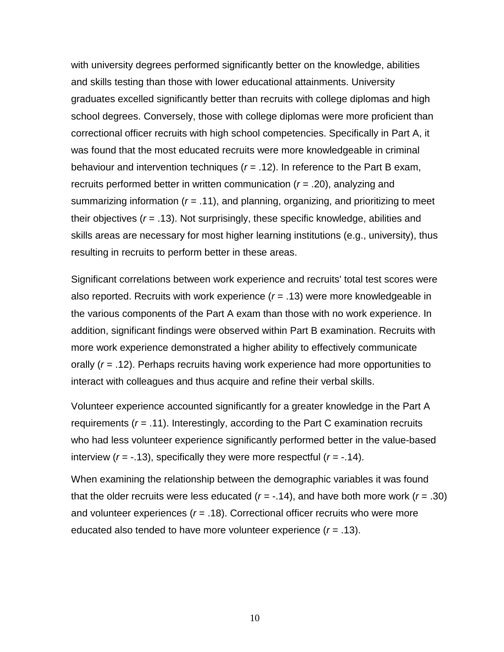with university degrees performed significantly better on the knowledge, abilities and skills testing than those with lower educational attainments. University graduates excelled significantly better than recruits with college diplomas and high school degrees. Conversely, those with college diplomas were more proficient than correctional officer recruits with high school competencies. Specifically in Part A, it was found that the most educated recruits were more knowledgeable in criminal behaviour and intervention techniques (*r* = .12). In reference to the Part B exam, recruits performed better in written communication (*r* = .20), analyzing and summarizing information (*r* = .11), and planning, organizing, and prioritizing to meet their objectives (*r* = .13). Not surprisingly, these specific knowledge, abilities and skills areas are necessary for most higher learning institutions (e.g., university), thus resulting in recruits to perform better in these areas.

Significant correlations between work experience and recruits' total test scores were also reported. Recruits with work experience (*r* = .13) were more knowledgeable in the various components of the Part A exam than those with no work experience. In addition, significant findings were observed within Part B examination. Recruits with more work experience demonstrated a higher ability to effectively communicate orally (*r* = .12). Perhaps recruits having work experience had more opportunities to interact with colleagues and thus acquire and refine their verbal skills.

Volunteer experience accounted significantly for a greater knowledge in the Part A requirements (*r* = .11). Interestingly, according to the Part C examination recruits who had less volunteer experience significantly performed better in the value-based interview  $(r = -.13)$ , specifically they were more respectful  $(r = -.14)$ .

When examining the relationship between the demographic variables it was found that the older recruits were less educated  $(r = -0.14)$ , and have both more work  $(r = 0.30)$ and volunteer experiences (*r* = .18). Correctional officer recruits who were more educated also tended to have more volunteer experience (*r* = .13).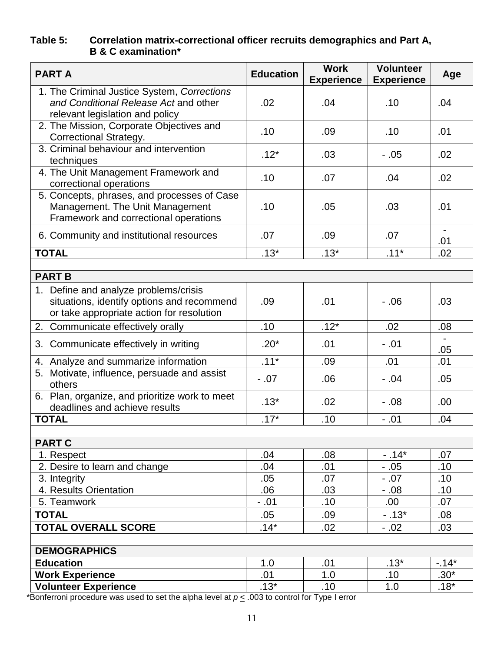# <span id="page-14-0"></span>**Table 5: Correlation matrix-correctional officer recruits demographics and Part A, B & C examination\***

| <b>PART A</b>                                                                                                                    | <b>Education</b> | <b>Work</b><br><b>Experience</b> | <b>Volunteer</b><br><b>Experience</b> | Age    |
|----------------------------------------------------------------------------------------------------------------------------------|------------------|----------------------------------|---------------------------------------|--------|
| 1. The Criminal Justice System, Corrections<br>and Conditional Release Act and other<br>relevant legislation and policy          | .02              | .04                              | .10                                   | .04    |
| 2. The Mission, Corporate Objectives and<br><b>Correctional Strategy.</b>                                                        | .10              | .09                              | .10                                   | .01    |
| 3. Criminal behaviour and intervention<br>techniques                                                                             | $.12*$           | .03                              | $-.05$                                | .02    |
| 4. The Unit Management Framework and<br>correctional operations                                                                  | .10              | .07                              | .04                                   | .02    |
| 5. Concepts, phrases, and processes of Case<br>Management. The Unit Management<br>Framework and correctional operations          | .10              | .05                              | .03                                   | .01    |
| 6. Community and institutional resources                                                                                         | .07              | .09                              | .07                                   | .01    |
| <b>TOTAL</b>                                                                                                                     | $.13*$           | $.13*$                           | $.11*$                                | .02    |
|                                                                                                                                  |                  |                                  |                                       |        |
| <b>PART B</b>                                                                                                                    |                  |                                  |                                       |        |
| 1. Define and analyze problems/crisis<br>situations, identify options and recommend<br>or take appropriate action for resolution | .09              | .01                              | $-0.06$                               | .03    |
| 2. Communicate effectively orally                                                                                                | .10              | $.12*$                           | .02                                   | .08    |
| 3. Communicate effectively in writing                                                                                            | $.20*$           | .01                              | $-.01$                                | .05    |
| 4. Analyze and summarize information                                                                                             | $.11*$           | .09                              | .01                                   | .01    |
| 5. Motivate, influence, persuade and assist<br>others                                                                            | $-.07$           | .06                              | $-.04$                                | .05    |
| 6. Plan, organize, and prioritize work to meet<br>deadlines and achieve results                                                  | $.13*$           | .02                              | $-.08$                                | .00    |
| <b>TOTAL</b>                                                                                                                     | $.17*$           | .10                              | $-.01$                                | .04    |
|                                                                                                                                  |                  |                                  |                                       |        |
| <b>PART C</b><br>1. Respect                                                                                                      | .04              | .08                              | $-14*$                                | .07    |
| 2. Desire to learn and change                                                                                                    | .04              | .01                              | $-.05$                                | .10    |
| 3. Integrity                                                                                                                     | .05              | .07                              | $-.07$                                | .10    |
| 4. Results Orientation                                                                                                           | .06              | .03                              | $-0.08$                               | .10    |
| 5. Teamwork                                                                                                                      | $-.01$           | .10                              | .00.                                  | .07    |
| <b>TOTAL</b>                                                                                                                     | .05              | .09                              | $-.13*$                               | .08    |
| <b>TOTAL OVERALL SCORE</b>                                                                                                       | $.14*$           | .02                              | $-.02$                                | .03    |
|                                                                                                                                  |                  |                                  |                                       |        |
| <b>DEMOGRAPHICS</b>                                                                                                              |                  |                                  |                                       |        |
| <b>Education</b>                                                                                                                 | 1.0              | .01                              | $.13*$                                | $-14*$ |
| <b>Work Experience</b>                                                                                                           | .01              | 1.0                              | .10                                   | $.30*$ |
| <b>Volunteer Experience</b>                                                                                                      | $.13*$           | .10                              | 1.0                                   | $.18*$ |

\*Bonferroni procedure was used to set the alpha level at *p* < .003 to control for Type I error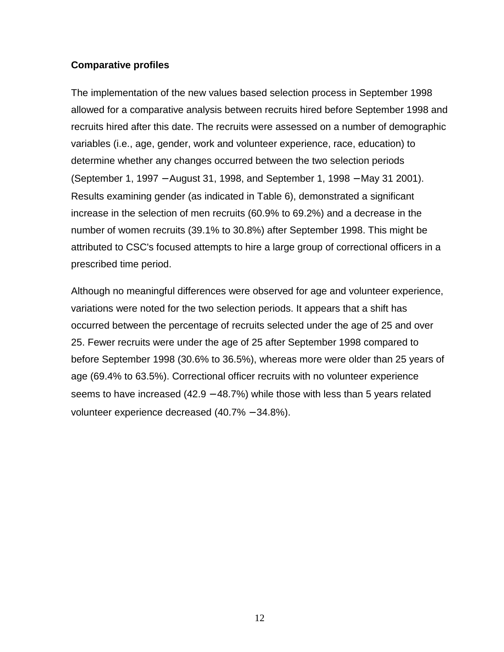## <span id="page-15-0"></span>**Comparative profiles**

The implementation of the new values based selection process in September 1998 allowed for a comparative analysis between recruits hired before September 1998 and recruits hired after this date. The recruits were assessed on a number of demographic variables (i.e., age, gender, work and volunteer experience, race, education) to determine whether any changes occurred between the two selection periods (September 1, 1997 − August 31, 1998, and September 1, 1998 − May 31 2001). Results examining gender (as indicated in Table 6), demonstrated a significant increase in the selection of men recruits (60.9% to 69.2%) and a decrease in the number of women recruits (39.1% to 30.8%) after September 1998. This might be attributed to CSC's focused attempts to hire a large group of correctional officers in a prescribed time period.

Although no meaningful differences were observed for age and volunteer experience, variations were noted for the two selection periods. It appears that a shift has occurred between the percentage of recruits selected under the age of 25 and over 25. Fewer recruits were under the age of 25 after September 1998 compared to before September 1998 (30.6% to 36.5%), whereas more were older than 25 years of age (69.4% to 63.5%). Correctional officer recruits with no volunteer experience seems to have increased (42.9 – 48.7%) while those with less than 5 years related volunteer experience decreased (40.7% − 34.8%).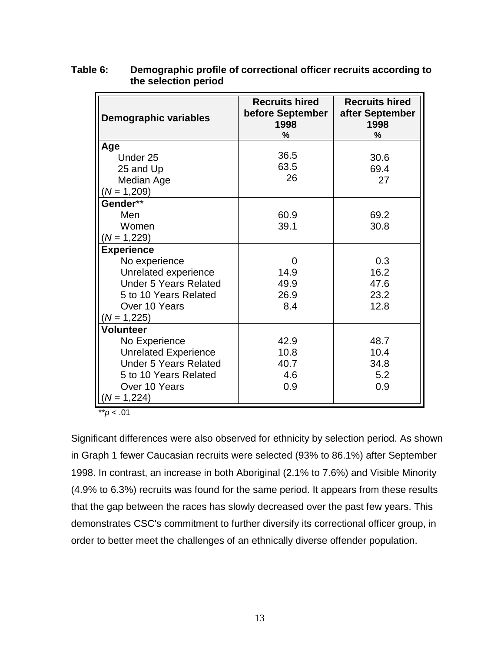| <b>Demographic variables</b>                          | <b>Recruits hired</b><br>before September<br>1998<br>$\%$ | <b>Recruits hired</b><br>after September<br>1998<br>$\%$ |  |
|-------------------------------------------------------|-----------------------------------------------------------|----------------------------------------------------------|--|
| Age                                                   |                                                           |                                                          |  |
| Under 25                                              | 36.5                                                      | 30.6                                                     |  |
| 25 and Up                                             | 63.5                                                      | 69.4                                                     |  |
| Median Age                                            | 26                                                        | 27                                                       |  |
| $(N = 1,209)$                                         |                                                           |                                                          |  |
| Gender**                                              |                                                           |                                                          |  |
| Men                                                   | 60.9                                                      | 69.2                                                     |  |
| Women                                                 | 39.1                                                      | 30.8                                                     |  |
| $(N = 1,229)$                                         |                                                           |                                                          |  |
| <b>Experience</b>                                     |                                                           |                                                          |  |
| No experience                                         | 0                                                         | 0.3<br>16.2                                              |  |
| Unrelated experience                                  | 14.9                                                      |                                                          |  |
| <b>Under 5 Years Related</b><br>5 to 10 Years Related | 49.9<br>26.9                                              | 47.6<br>23.2                                             |  |
| Over 10 Years                                         | 8.4                                                       | 12.8                                                     |  |
| $(N = 1,225)$                                         |                                                           |                                                          |  |
| Volunteer                                             |                                                           |                                                          |  |
| No Experience                                         | 42.9                                                      | 48.7                                                     |  |
| <b>Unrelated Experience</b>                           | 10.8                                                      | 10.4                                                     |  |
| <b>Under 5 Years Related</b>                          | 40.7                                                      | 34.8                                                     |  |
| 5 to 10 Years Related                                 | 4.6                                                       | 5.2                                                      |  |
| Over 10 Years                                         | 0.9                                                       | 0.9                                                      |  |
| $(N = 1,224)$                                         |                                                           |                                                          |  |

<span id="page-16-0"></span>**Table 6: Demographic profile of correctional officer recruits according to the selection period**

 $*$ *r* $p$  < .01

Significant differences were also observed for ethnicity by selection period. As shown in Graph 1 fewer Caucasian recruits were selected (93% to 86.1%) after September 1998. In contrast, an increase in both Aboriginal (2.1% to 7.6%) and Visible Minority (4.9% to 6.3%) recruits was found for the same period. It appears from these results that the gap between the races has slowly decreased over the past few years. This demonstrates CSC's commitment to further diversify its correctional officer group, in order to better meet the challenges of an ethnically diverse offender population.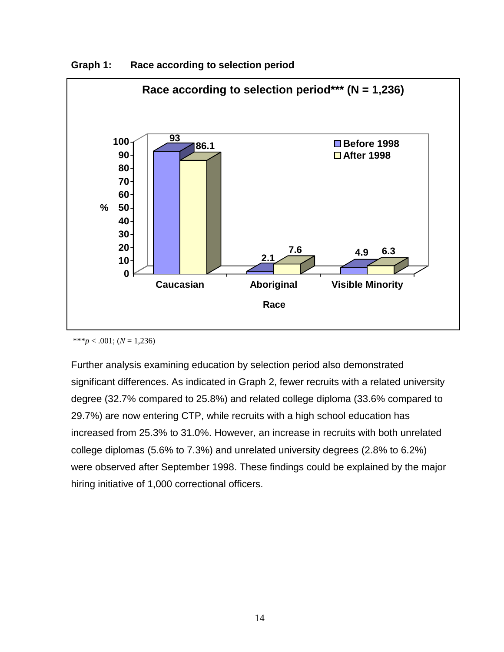

<span id="page-17-0"></span>**Graph 1: Race according to selection period**

Further analysis examining education by selection period also demonstrated significant differences. As indicated in Graph 2, fewer recruits with a related university degree (32.7% compared to 25.8%) and related college diploma (33.6% compared to 29.7%) are now entering CTP, while recruits with a high school education has increased from 25.3% to 31.0%. However, an increase in recruits with both unrelated college diplomas (5.6% to 7.3%) and unrelated university degrees (2.8% to 6.2%) were observed after September 1998. These findings could be explained by the major hiring initiative of 1,000 correctional officers.

<sup>\*\*\*</sup>*p* < .001; ( $N = 1,236$ )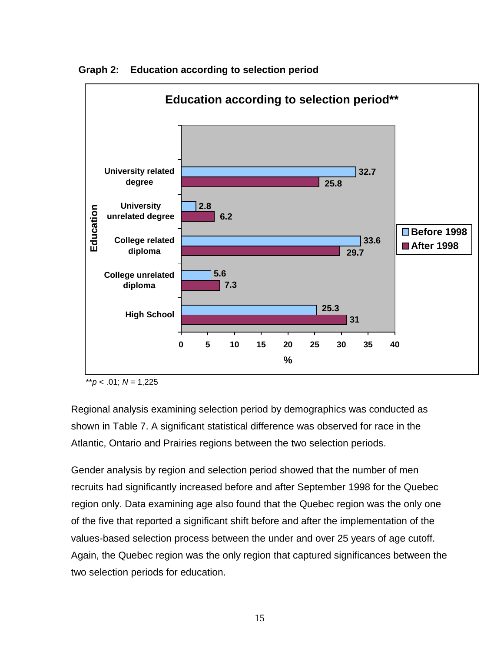

<span id="page-18-0"></span>**Graph 2: Education according to selection period**

 $*$ *r* $p$  < .01;  $N = 1,225$ 

Regional analysis examining selection period by demographics was conducted as shown in Table 7. A significant statistical difference was observed for race in the Atlantic, Ontario and Prairies regions between the two selection periods.

Gender analysis by region and selection period showed that the number of men recruits had significantly increased before and after September 1998 for the Quebec region only. Data examining age also found that the Quebec region was the only one of the five that reported a significant shift before and after the implementation of the values-based selection process between the under and over 25 years of age cutoff. Again, the Quebec region was the only region that captured significances between the two selection periods for education.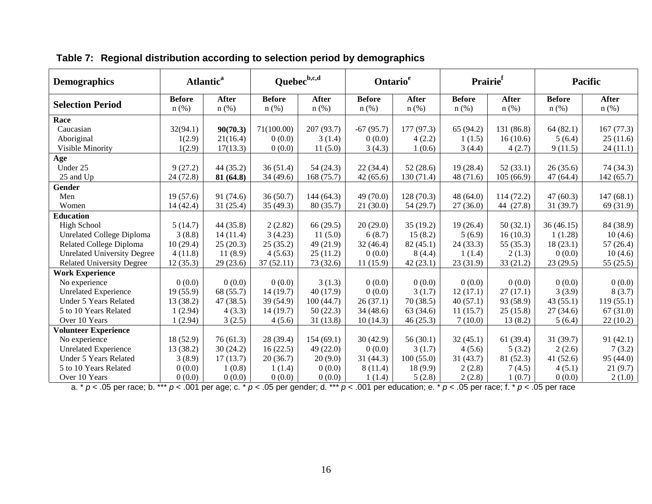| <b>Demographics</b>                |               | <b>Atlantic<sup>a</sup></b> | Quebec <sup>b,c,d</sup> |              | Ontario <sup>e</sup> |              | Prairie <sup>f</sup> |              | <b>Pacific</b> |              |
|------------------------------------|---------------|-----------------------------|-------------------------|--------------|----------------------|--------------|----------------------|--------------|----------------|--------------|
| <b>Selection Period</b>            | <b>Before</b> | <b>After</b>                | <b>Before</b>           | <b>After</b> | <b>Before</b>        | <b>After</b> | <b>Before</b>        | <b>After</b> | <b>Before</b>  | <b>After</b> |
|                                    | $n$ (%)       | $n$ (%)                     | $n$ (%)                 | $n$ (%)      | $n$ (%)              | $n$ (%)      | $n$ (%)              | $n$ (%)      | $n$ (%)        | $n$ (%)      |
| Race                               |               |                             |                         |              |                      |              |                      |              |                |              |
| Caucasian                          | 32(94.1)      | 90(70.3)                    | 71(100.00)              | 207 (93.7)   | $-67(95.7)$          | 177(97.3)    | 65(94.2)             | 131 (86.8)   | 64(82.1)       | 167(77.3)    |
| Aboriginal                         | 1(2.9)        | 21(16.4)                    | 0(0.0)                  | 3(1.4)       | 0(0.0)               | 4(2.2)       | 1(1.5)               | 16(10.6)     | 5(6.4)         | 25(11.6)     |
| Visible Minority                   | 1(2.9)        | 17(13.3)                    | 0(0.0)                  | 11(5.0)      | 3(4.3)               | 1(0.6)       | 3(4.4)               | 4(2.7)       | 9(11.5)        | 24(11.1)     |
| Age                                |               |                             |                         |              |                      |              |                      |              |                |              |
| Under 25                           | 9(27.2)       | 44 (35.2)                   | 36(51.4)                | 54(24.3)     | 22(34.4)             | 52(28.6)     | 19(28.4)             | 52(33.1)     | 26(35.6)       | 74 (34.3)    |
| 25 and Up                          | 24(72.8)      | 81 (64.8)                   | 34 (49.6)               | 168 (75.7)   | 42(65.6)             | 130 (71.4)   | 48 (71.6)            | 105(66.9)    | 47(64.4)       | 142(65.7)    |
| Gender                             |               |                             |                         |              |                      |              |                      |              |                |              |
| Men                                | 19(57.6)      | 91(74.6)                    | 36(50.7)                | 144(64.3)    | 49 (70.0)            | 128(70.3)    | 48(64.0)             | 114 (72.2)   | 47(60.3)       | 147(68.1)    |
| Women                              | 14(42.4)      | 31(25.4)                    | 35(49.3)                | 80(35.7)     | 21(30.0)             | 54(29.7)     | 27(36.0)             | 44 (27.8)    | 31(39.7)       | 69 (31.9)    |
| <b>Education</b>                   |               |                             |                         |              |                      |              |                      |              |                |              |
| <b>High School</b>                 | 5(14.7)       | 44 (35.8)                   | 2(2.82)                 | 66(29.5)     | 20(29.0)             | 35(19.2)     | 19(26.4)             | 50(32.1)     | 36(46.15)      | 84 (38.9)    |
| Unrelated College Diploma          | 3(8.8)        | 14(11.4)                    | 3(4.23)                 | 11(5.0)      | 6(8.7)               | 15(8.2)      | 5(6.9)               | 16(10.3)     | 1(1.28)        | 10(4.6)      |
| Related College Diploma            | 10(29.4)      | 25(20.3)                    | 25(35.2)                | 49 (21.9)    | 32(46.4)             | 82(45.1)     | 24(33.3)             | 55 (35.3)    | 18(23.1)       | 57(26.4)     |
| <b>Unrelated University Degree</b> | 4(11.8)       | 11(8.9)                     | 4(5.63)                 | 25(11.2)     | 0(0.0)               | 8(4.4)       | 1(1.4)               | 2(1.3)       | 0(0.0)         | 10(4.6)      |
| <b>Related University Degree</b>   | 12(35.3)      | 29(23.6)                    | 37(52.11)               | 73 (32.6)    | 11(15.9)             | 42(23.1)     | 23(31.9)             | 33(21.2)     | 23(29.5)       | 55(25.5)     |
| <b>Work Experience</b>             |               |                             |                         |              |                      |              |                      |              |                |              |
| No experience                      | 0(0.0)        | 0(0.0)                      | 0(0.0)                  | 3(1.3)       | 0(0.0)               | 0(0.0)       | 0(0.0)               | 0(0.0)       | 0(0.0)         | 0(0.0)       |
| <b>Unrelated Experience</b>        | 19(55.9)      | 68 (55.7)                   | 14(19.7)                | 40(17.9)     | 0(0.0)               | 3(1.7)       | 12(17.1)             | 27(17.1)     | 3(3.9)         | 8(3.7)       |
| <b>Under 5 Years Related</b>       | 13 (38.2)     | 47(38.5)                    | 39 (54.9)               | 100(44.7)    | 26(37.1)             | 70(38.5)     | 40(57.1)             | 93 (58.9)    | 43(55.1)       | 119(55.1)    |
| 5 to 10 Years Related              | 1(2.94)       | 4(3.3)                      | 14(19.7)                | 50(22.3)     | 34(48.6)             | 63 (34.6)    | 11(15.7)             | 25(15.8)     | 27(34.6)       | 67(31.0)     |
| Over 10 Years                      | 1(2.94)       | 3(2.5)                      | 4(5.6)                  | 31(13.8)     | 10(14.3)             | 46(25.3)     | 7(10.0)              | 13(8.2)      | 5(6.4)         | 22(10.2)     |
| <b>Volunteer Experience</b>        |               |                             |                         |              |                      |              |                      |              |                |              |
| No experience                      | 18 (52.9)     | 76(61.3)                    | 28 (39.4)               | 154(69.1)    | 30(42.9)             | 56(30.1)     | 32(45.1)             | 61(39.4)     | 31 (39.7)      | 91(42.1)     |
| <b>Unrelated Experience</b>        | 13 (38.2)     | 30(24.2)                    | 16(22.5)                | 49(22.0)     | 0(0.0)               | 3(1.7)       | 4(5.6)               | 5(3.2)       | 2(2.6)         | 7(3.2)       |
| <b>Under 5 Years Related</b>       | 3(8.9)        | 17(13.7)                    | 20(36.7)                | 20(9.0)      | 31(44.3)             | 100(55.0)    | 31(43.7)             | 81(52.3)     | 41(52.6)       | 95 (44.0)    |
| 5 to 10 Years Related              | 0(0.0)        | 1(0.8)                      | 1(1.4)                  | 0(0.0)       | 8(11.4)              | 18 (9.9)     | 2(2.8)               | 7(4.5)       | 4(5.1)         | 21(9.7)      |
| Over 10 Years                      | 0(0.0)        | 0(0.0)                      | 0(0.0)                  | 0(0.0)       | 1(1.4)               | 5(2.8)       | 2(2.8)               | 1(0.7)       | 0(0.0)         | 2(1.0)       |

# <span id="page-19-0"></span>**Table 7: Regional distribution according to selection period by demographics**

a. \* *p* < .05 per race; b. \*\*\* *p* < .001 per age; c. \* *p* < .05 per gender; d. \*\*\* *p* < .001 per education; e. \* *p* < .05 per race; f. \* *p* < .05 per race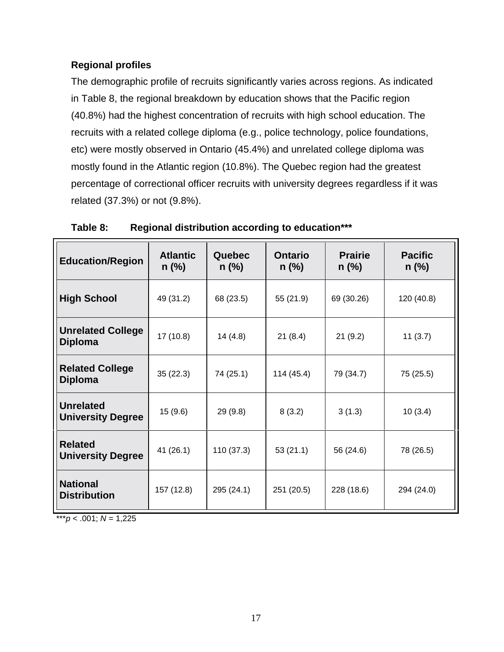## <span id="page-20-0"></span>**Regional profiles**

The demographic profile of recruits significantly varies across regions. As indicated in Table 8, the regional breakdown by education shows that the Pacific region (40.8%) had the highest concentration of recruits with high school education. The recruits with a related college diploma (e.g., police technology, police foundations, etc) were mostly observed in Ontario (45.4%) and unrelated college diploma was mostly found in the Atlantic region (10.8%). The Quebec region had the greatest percentage of correctional officer recruits with university degrees regardless if it was related (37.3%) or not (9.8%).

| <b>Education/Region</b>                      | <b>Atlantic</b><br>$n$ (%) | Quebec<br>$n$ (%) | <b>Ontario</b><br>$n$ (%) | <b>Prairie</b><br>$n$ (%) | <b>Pacific</b><br>$n$ (%) |
|----------------------------------------------|----------------------------|-------------------|---------------------------|---------------------------|---------------------------|
| <b>High School</b>                           | 49 (31.2)                  | 68 (23.5)         | 55 (21.9)                 | 69 (30.26)                | 120 (40.8)                |
| <b>Unrelated College</b><br><b>Diploma</b>   | 17(10.8)                   | 14(4.8)           | 21(8.4)                   | 21(9.2)                   | 11(3.7)                   |
| <b>Related College</b><br><b>Diploma</b>     | 35(22.3)                   | 74 (25.1)         | 114 (45.4)                | 79 (34.7)                 | 75 (25.5)                 |
| <b>Unrelated</b><br><b>University Degree</b> | 15 (9.6)                   | 29(9.8)           | 8(3.2)                    | 3(1.3)                    | 10(3.4)                   |
| <b>Related</b><br><b>University Degree</b>   | 41 (26.1)                  | 110 (37.3)        | 53(21.1)                  | 56 (24.6)                 | 78 (26.5)                 |
| <b>National</b><br><b>Distribution</b>       | 157 (12.8)                 | 295 (24.1)        | 251 (20.5)                | 228 (18.6)                | 294 (24.0)                |

**Table 8: Regional distribution according to education\*\*\***

\*\*\**p* < .001;  $N = 1,225$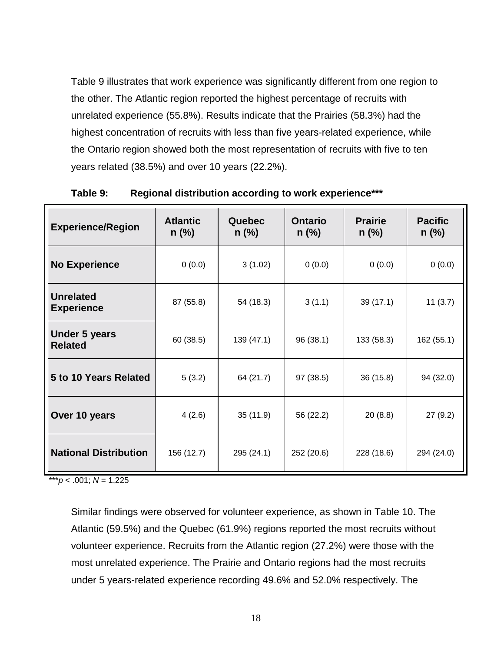<span id="page-21-0"></span>Table 9 illustrates that work experience was significantly different from one region to the other. The Atlantic region reported the highest percentage of recruits with unrelated experience (55.8%). Results indicate that the Prairies (58.3%) had the highest concentration of recruits with less than five years-related experience, while the Ontario region showed both the most representation of recruits with five to ten years related (38.5%) and over 10 years (22.2%).

| <b>Experience/Region</b>               | <b>Atlantic</b><br>$n$ (%) | Quebec<br>$n$ (%) | <b>Prairie</b><br><b>Ontario</b><br>$n$ (%)<br>$n$ (%) |            | <b>Pacific</b><br>$n$ (%) |  |
|----------------------------------------|----------------------------|-------------------|--------------------------------------------------------|------------|---------------------------|--|
| <b>No Experience</b>                   | 0(0.0)                     | 3(1.02)<br>0(0.0) |                                                        | 0(0.0)     | 0(0.0)                    |  |
| <b>Unrelated</b><br><b>Experience</b>  | 87 (55.8)                  | 54 (18.3)         | 3(1.1)                                                 | 39(17.1)   | 11(3.7)                   |  |
| <b>Under 5 years</b><br><b>Related</b> | 60(38.5)                   | 139 (47.1)        | 96(38.1)                                               | 133 (58.3) | 162 (55.1)                |  |
| 5 to 10 Years Related                  | 5(3.2)                     | 64 (21.7)         | 97 (38.5)                                              | 36(15.8)   | 94 (32.0)                 |  |
| Over 10 years                          | 4(2.6)                     | 35(11.9)          | 56 (22.2)                                              | 20(8.8)    | 27(9.2)                   |  |
| <b>National Distribution</b>           | 156 (12.7)                 | 295 (24.1)        | 252 (20.6)                                             | 228 (18.6) | 294 (24.0)                |  |

**Table 9: Regional distribution according to work experience\*\*\***

 $***p$  < .001; *N* = 1,225

Similar findings were observed for volunteer experience, as shown in Table 10. The Atlantic (59.5%) and the Quebec (61.9%) regions reported the most recruits without volunteer experience. Recruits from the Atlantic region (27.2%) were those with the most unrelated experience. The Prairie and Ontario regions had the most recruits under 5 years-related experience recording 49.6% and 52.0% respectively. The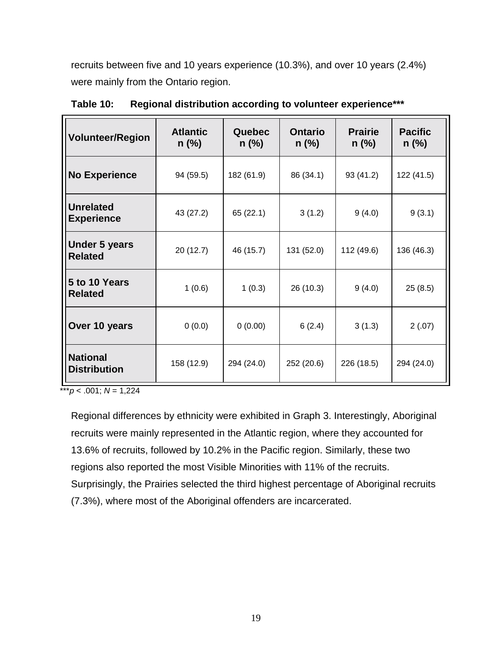<span id="page-22-0"></span>recruits between five and 10 years experience (10.3%), and over 10 years (2.4%) were mainly from the Ontario region.

| <b>Volunteer/Region</b>                | <b>Atlantic</b><br>$n$ (%) | Quebec<br>$n$ (%) | <b>Ontario</b><br><b>Prairie</b><br>$n$ (%)<br>$n$ (%) |            | <b>Pacific</b><br>$n$ (%) |  |
|----------------------------------------|----------------------------|-------------------|--------------------------------------------------------|------------|---------------------------|--|
| <b>No Experience</b>                   | 94 (59.5)                  | 182 (61.9)        | 86 (34.1)                                              | 93 (41.2)  | 122 (41.5)                |  |
| <b>Unrelated</b><br><b>Experience</b>  | 43 (27.2)                  | 65 (22.1)         | 3(1.2)                                                 | 9(4.0)     | 9(3.1)                    |  |
| <b>Under 5 years</b><br><b>Related</b> | 20(12.7)                   | 46 (15.7)         | 131 (52.0)                                             | 112 (49.6) | 136 (46.3)                |  |
| 5 to 10 Years<br><b>Related</b>        | 1(0.6)                     | 1(0.3)            | 26 (10.3)                                              | 9(4.0)     | 25(8.5)                   |  |
| Over 10 years                          | 0(0.0)                     | 0(0.00)           | 6(2.4)                                                 | 3(1.3)     | 2(.07)                    |  |
| <b>National</b><br><b>Distribution</b> | 158 (12.9)                 | 294 (24.0)        | 252 (20.6)                                             | 226 (18.5) | 294 (24.0)                |  |

**Table 10: Regional distribution according to volunteer experience\*\*\***

 $***p$  < .001;  $N = 1,224$ 

Regional differences by ethnicity were exhibited in Graph 3. Interestingly, Aboriginal recruits were mainly represented in the Atlantic region, where they accounted for 13.6% of recruits, followed by 10.2% in the Pacific region. Similarly, these two regions also reported the most Visible Minorities with 11% of the recruits. Surprisingly, the Prairies selected the third highest percentage of Aboriginal recruits (7.3%), where most of the Aboriginal offenders are incarcerated.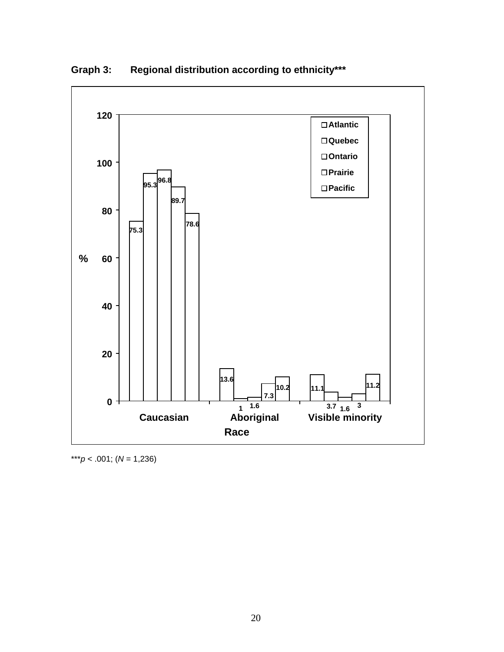

<span id="page-23-0"></span>**Graph 3: Regional distribution according to ethnicity\*\*\***

\*\*\**p* < .001; (*N* = 1,236)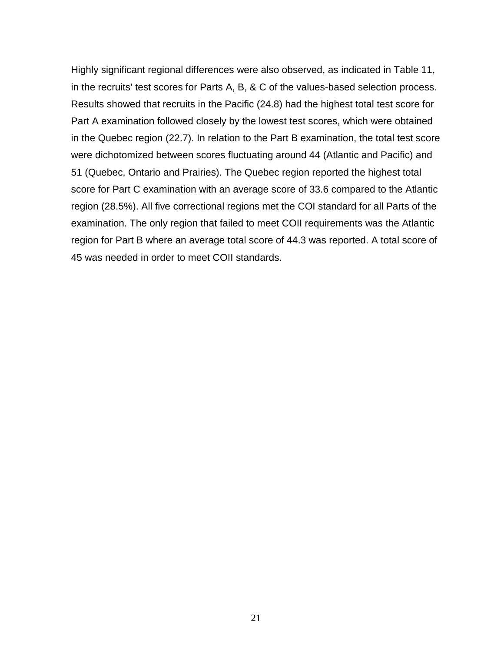Highly significant regional differences were also observed, as indicated in Table 11, in the recruits' test scores for Parts A, B, & C of the values-based selection process. Results showed that recruits in the Pacific (24.8) had the highest total test score for Part A examination followed closely by the lowest test scores, which were obtained in the Quebec region (22.7). In relation to the Part B examination, the total test score were dichotomized between scores fluctuating around 44 (Atlantic and Pacific) and 51 (Quebec, Ontario and Prairies). The Quebec region reported the highest total score for Part C examination with an average score of 33.6 compared to the Atlantic region (28.5%). All five correctional regions met the COI standard for all Parts of the examination. The only region that failed to meet COII requirements was the Atlantic region for Part B where an average total score of 44.3 was reported. A total score of 45 was needed in order to meet COII standards.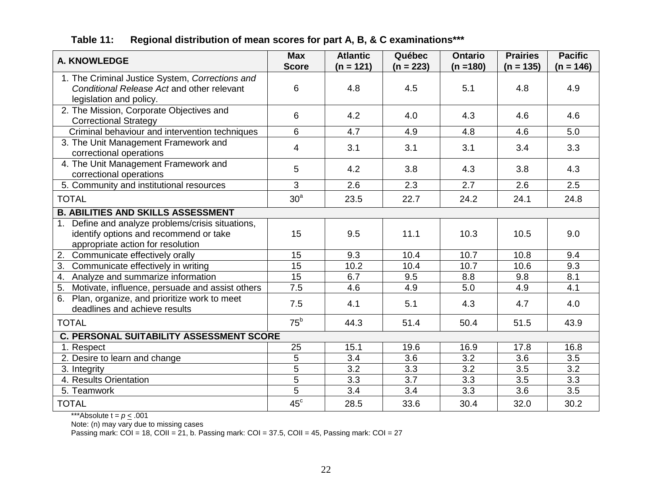<span id="page-25-0"></span>

| <b>A. KNOWLEDGE</b>                                                                                                                 | <b>Max</b><br><b>Score</b> | <b>Atlantic</b><br>$(n = 121)$ | Québec<br>$(n = 223)$ | <b>Ontario</b><br>$(n = 180)$ | <b>Prairies</b><br>$(n = 135)$ | <b>Pacific</b><br>$(n = 146)$ |  |
|-------------------------------------------------------------------------------------------------------------------------------------|----------------------------|--------------------------------|-----------------------|-------------------------------|--------------------------------|-------------------------------|--|
| 1. The Criminal Justice System, Corrections and<br>Conditional Release Act and other relevant<br>legislation and policy.            | 6                          | 4.8                            | 4.5                   | 5.1                           | 4.8                            | 4.9                           |  |
| 2. The Mission, Corporate Objectives and<br><b>Correctional Strategy</b>                                                            | 6                          | 4.2                            | 4.0                   | 4.3                           | 4.6                            | 4.6                           |  |
| Criminal behaviour and intervention techniques                                                                                      | 6                          | 4.7                            | 4.9                   | 4.8                           | 4.6                            | 5.0                           |  |
| 3. The Unit Management Framework and<br>correctional operations                                                                     | $\overline{4}$             | 3.1                            | 3.1                   | 3.1                           | 3.4                            | 3.3                           |  |
| 4. The Unit Management Framework and<br>correctional operations                                                                     | 5                          | 4.2                            | 3.8                   | 4.3                           | 3.8                            | 4.3                           |  |
| 5. Community and institutional resources                                                                                            | 3                          | 2.6                            | 2.3                   | 2.7                           | 2.6                            | 2.5                           |  |
| <b>TOTAL</b>                                                                                                                        | 30 <sup>a</sup>            | 23.5                           | 22.7                  | 24.2                          | 24.1                           | 24.8                          |  |
| <b>B. ABILITIES AND SKILLS ASSESSMENT</b>                                                                                           |                            |                                |                       |                               |                                |                               |  |
| Define and analyze problems/crisis situations,<br>1.<br>identify options and recommend or take<br>appropriate action for resolution | 15                         | 9.5                            | 11.1                  | 10.3                          | 10.5                           | 9.0                           |  |
| 2. Communicate effectively orally                                                                                                   | 15                         | 9.3                            | 10.4                  | 10.7                          | 10.8                           | 9.4                           |  |
| 3. Communicate effectively in writing                                                                                               | $\overline{15}$            | 10.2                           | 10.4                  | 10.7                          | 10.6                           | 9.3                           |  |
| 4. Analyze and summarize information                                                                                                | 15                         | 6.7                            | 9.5                   | 8.8                           | 9.8                            | 8.1                           |  |
| 5. Motivate, influence, persuade and assist others                                                                                  | 7.5                        | 4.6                            | 4.9                   | 5.0                           | 4.9                            | 4.1                           |  |
| 6. Plan, organize, and prioritize work to meet<br>deadlines and achieve results                                                     | 7.5                        | 4.1                            | 5.1                   | 4.3                           | 4.7                            | 4.0                           |  |
| <b>TOTAL</b>                                                                                                                        | $75^{\rm b}$               | 44.3                           | 51.4                  | 50.4                          | 51.5                           | 43.9                          |  |
| <b>C. PERSONAL SUITABILITY ASSESSMENT SCORE</b>                                                                                     |                            |                                |                       |                               |                                |                               |  |
| 1. Respect                                                                                                                          | 25                         | 15.1                           | 19.6                  | 16.9                          | 17.8                           | 16.8                          |  |
| 2. Desire to learn and change                                                                                                       | $\overline{5}$             | 3.4                            | 3.6                   | 3.2                           | 3.6                            | 3.5                           |  |
| 3. Integrity                                                                                                                        | 5                          | 3.2                            | 3.3                   | 3.2                           | 3.5                            | 3.2                           |  |
| 4. Results Orientation                                                                                                              | $\overline{5}$             | 3.3                            | 3.7                   | 3.3                           | 3.5                            | 3.3                           |  |
| 5. Teamwork                                                                                                                         | $\overline{5}$             | 3.4                            | 3.4                   | 3.3                           | 3.6                            | 3.5                           |  |
| <b>TOTAL</b>                                                                                                                        | $45^{\circ}$               | 28.5                           | 33.6                  | 30.4                          | 32.0                           | 30.2                          |  |

## **Table 11: Regional distribution of mean scores for part A, B, & C examinations\*\*\***

\*\*\*Absolute  $t = p \le .001$ 

Note: (n) may vary due to missing cases

Passing mark: COI = 18, COII = 21, b. Passing mark: COI = 37.5, COII = 45, Passing mark: COI = 27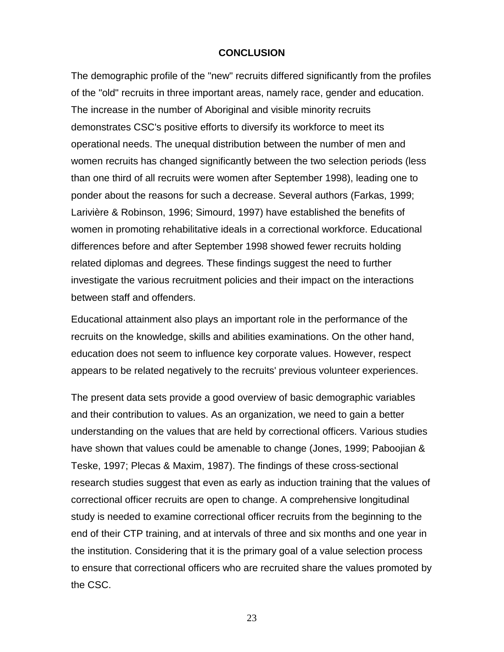#### **CONCLUSION**

<span id="page-26-0"></span>The demographic profile of the "new" recruits differed significantly from the profiles of the "old" recruits in three important areas, namely race, gender and education. The increase in the number of Aboriginal and visible minority recruits demonstrates CSC's positive efforts to diversify its workforce to meet its operational needs. The unequal distribution between the number of men and women recruits has changed significantly between the two selection periods (less than one third of all recruits were women after September 1998), leading one to ponder about the reasons for such a decrease. Several authors (Farkas, 1999; Larivière & Robinson, 1996; Simourd, 1997) have established the benefits of women in promoting rehabilitative ideals in a correctional workforce. Educational differences before and after September 1998 showed fewer recruits holding related diplomas and degrees. These findings suggest the need to further investigate the various recruitment policies and their impact on the interactions between staff and offenders.

Educational attainment also plays an important role in the performance of the recruits on the knowledge, skills and abilities examinations. On the other hand, education does not seem to influence key corporate values. However, respect appears to be related negatively to the recruits' previous volunteer experiences.

The present data sets provide a good overview of basic demographic variables and their contribution to values. As an organization, we need to gain a better understanding on the values that are held by correctional officers. Various studies have shown that values could be amenable to change (Jones, 1999; Paboojian & Teske, 1997; Plecas & Maxim, 1987). The findings of these cross-sectional research studies suggest that even as early as induction training that the values of correctional officer recruits are open to change. A comprehensive longitudinal study is needed to examine correctional officer recruits from the beginning to the end of their CTP training, and at intervals of three and six months and one year in the institution. Considering that it is the primary goal of a value selection process to ensure that correctional officers who are recruited share the values promoted by the CSC.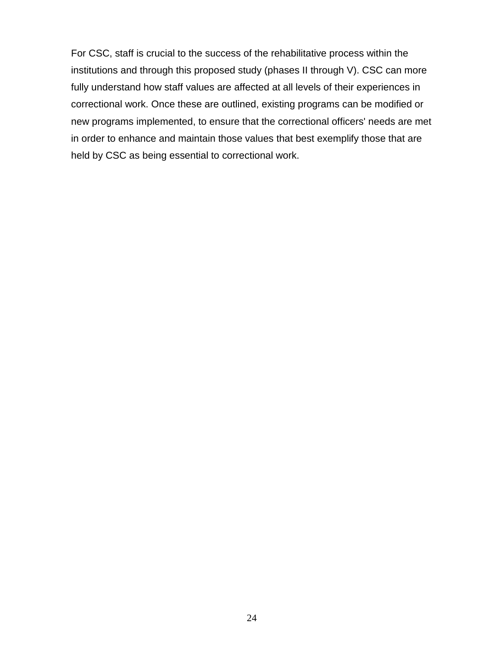For CSC, staff is crucial to the success of the rehabilitative process within the institutions and through this proposed study (phases II through V). CSC can more fully understand how staff values are affected at all levels of their experiences in correctional work. Once these are outlined, existing programs can be modified or new programs implemented, to ensure that the correctional officers' needs are met in order to enhance and maintain those values that best exemplify those that are held by CSC as being essential to correctional work.